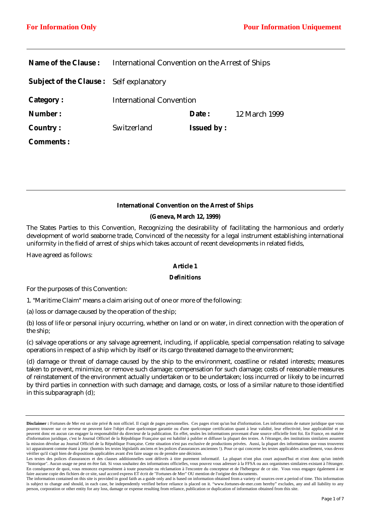| <b>Name of the Clause :</b>                    | International Convention on the Arrest of Ships |                   |               |
|------------------------------------------------|-------------------------------------------------|-------------------|---------------|
| <b>Subject of the Clause:</b> Self explanatory |                                                 |                   |               |
| <b>Category:</b>                               | <b>International Convention</b>                 |                   |               |
| Number:                                        |                                                 | Date:             | 12 March 1999 |
| <b>Country:</b>                                | Switzerland                                     | <b>Issued by:</b> |               |
| <b>Comments:</b>                               |                                                 |                   |               |

## **International Convention on the Arrest of Ships**

## **(Geneva, March 12, 1999)**

The States Parties to this Convention, Recognizing the desirability of facilitating the harmonious and orderly development of world seaborne trade, Convinced of the necessity for a legal instrument establishing international uniformity in the field of arrest of ships which takes account of recent developments in related fields,

Have agreed as follows:

#### **Article 1**

#### *Definitions*

For the purposes of this Convention:

1. "Maritime Claim" means a claim arising out of one or more of the following:

(a) loss or damage caused by the operation of the ship;

(b) loss of life or personal injury occurring, whether on land or on water, in direct connection with the operation of the ship;

(c) salvage operations or any salvage agreement, including, if applicable, special compensation relating to salvage operations in respect of a ship which by itself or its cargo threatened damage to the environment;

(d) damage or threat of damage caused by the ship to the environment, coastline or related interests; measures taken to prevent, minimize, or remove such damage; compensation for such damage; costs of reasonable measures of reinstatement of the environment actually undertaken or to be undertaken; loss incurred or likely to be incurred by third parties in connection with such damage; and damage, costs, or loss of a similar nature to those identified in this subparagraph (d);

**Disclaimer :** Fortunes de Mer est un site privé & non officiel. Il s'agit de pages personnelles. Ces pages n'ont qu'un but d'information. Les informations de nature juridique que vous pourrez trouver sur ce serveur ne peuvent faire l'objet d'une quelconque garantie ou d'une quelconque certification quant à leur validité, leur effectivité, leur applicabilité et ne peuvent donc en aucun cas engager la responsabilité du directeur de la publication. En effet, seules les informations provenant d'une source officielle font foi. En France, en matière d'information juridique, c'est le Journal Officiel de la République Française qui est habilité à publier et diffuser la plupart des textes. A l'étranger, des institutions similaires assurent la mission dévolue au Journal Officiel de la République Française. Cette situation n'est pas exclusive de productions privées. Aussi, la plupart des informations que vous trouverez ici apparaissent comme étant à jour (hormis les textes législatifs anciens et les polices d'assurances anciennes !). Pour ce qui concerne les textes applicables actuellement, vous devez vérifier qu'il s'agit bien de dispositions applicables avant d'en faire usage ou de prendre une décision.

Les textes des polices d'assurances et des clauses additionnelles sont délivrés à titre purement informatif. La plupart n'ont plus court aujourd'hui et n'ont donc qu'un intérêt "historique". Aucun usage ne peut en être fait. Si vous souhaitez des informations officielles, vous pouvez vous adresser à la FFSA ou aux organismes similaires existant à l'étranger. En conséquence de quoi, vous renoncez expressément à toute poursuite ou réclamation à l'encontre du concepteur et de l'hébergeur de ce site. Vous vous engagez également à ne faire aucune copie des fichiers de ce site, sauf accord express ET écrit de "Fortunes de Mer" OU mention de l'origine des documents.

The information contained on this site is provided in good faith as a guide only and is based on information obtained from a variety of sources over a period of time. This information is subject to change and should, in each case, be independently verified before reliance is placed on it. "www.fortunes-de-mer.com hereby" excludes, any and all liability to any person, corporation or other entity for any loss, damage or expense resulting from reliance, publication or duplication of information obtained from this site.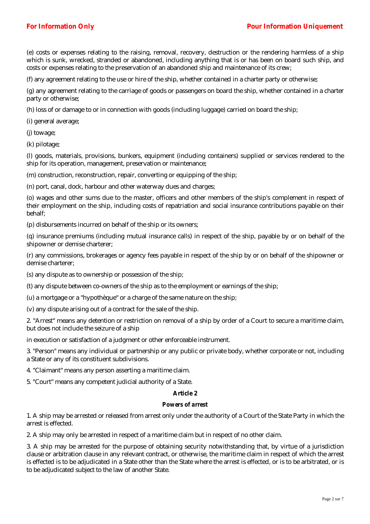(e) costs or expenses relating to the raising, removal, recovery, destruction or the rendering harmless of a ship which is sunk, wrecked, stranded or abandoned, including anything that is or has been on board such ship, and costs or expenses relating to the preservation of an abandoned ship and maintenance of its crew;

(f) any agreement relating to the use or hire of the ship, whether contained in a charter party or otherwise;

(g) any agreement relating to the carriage of goods or passengers on board the ship, whether contained in a charter party or otherwise;

(h) loss of or damage to or in connection with goods (including luggage) carried on board the ship;

(i) general average;

(j) towage;

(k) pilotage;

(l) goods, materials, provisions, bunkers, equipment (including containers) supplied or services rendered to the ship for its operation, management, preservation or maintenance;

(m) construction, reconstruction, repair, converting or equipping of the ship;

(n) port, canal, dock, harbour and other waterway dues and charges;

(o) wages and other sums due to the master, officers and other members of the ship's complement in respect of their employment on the ship, including costs of repatriation and social insurance contributions payable on their behalf;

(p) disbursements incurred on behalf of the ship or its owners;

(q) insurance premiums (including mutual insurance calls) in respect of the ship, payable by or on behalf of the shipowner or demise charterer;

(r) any commissions, brokerages or agency fees payable in respect of the ship by or on behalf of the shipowner or demise charterer;

(s) any dispute as to ownership or possession of the ship;

(t) any dispute between co-owners of the ship as to the employment or earnings of the ship;

(u) a mortgage or a "hypothèque" or a charge of the same nature on the ship;

(v) any dispute arising out of a contract for the sale of the ship.

2. "Arrest" means any detention or restriction on removal of a ship by order of a Court to secure a maritime claim, but does not include the seizure of a ship

in execution or satisfaction of a judgment or other enforceable instrument.

3. "Person" means any individual or partnership or any public or private body, whether corporate or not, including a State or any of its constituent subdivisions.

4. "Claimant" means any person asserting a maritime claim.

5. "Court" means any competent judicial authority of a State.

### **Article 2**

### *Powers of arrest*

1. A ship may be arrested or released from arrest only under the authority of a Court of the State Party in which the arrest is effected.

2. A ship may only be arrested in respect of a maritime claim but in respect of no other claim.

3. A ship may be arrested for the purpose of obtaining security notwithstanding that, by virtue of a jurisdiction clause or arbitration clause in any relevant contract, or otherwise, the maritime claim in respect of which the arrest is effected is to be adjudicated in a State other than the State where the arrest is effected, or is to be arbitrated, or is to be adjudicated subject to the law of another State.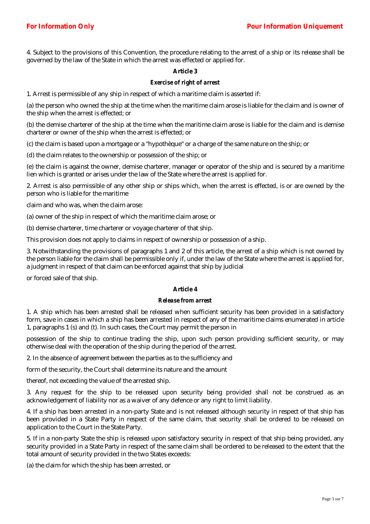4. Subject to the provisions of this Convention, the procedure relating to the arrest of a ship or its release shall be governed by the law of the State in which the arrest was effected or applied for.

# **Article 3**

### *Exercise of right of arrest*

1. Arrest is permissible of any ship in respect of which a maritime claim is asserted if:

(a) the person who owned the ship at the time when the maritime claim arose is liable for the claim and is owner of the ship when the arrest is effected; or

(b) the demise charterer of the ship at the time when the maritime claim arose is liable for the claim and is demise charterer or owner of the ship when the arrest is effected; or

(c) the claim is based upon a mortgage or a "hypothèque" or a charge of the same nature on the ship; or

(d) the claim relates to the ownership or possession of the ship; or

(e) the claim is against the owner, demise charterer, manager or operator of the ship and is secured by a maritime lien which is granted or arises under the law of the State where the arrest is applied for.

2. Arrest is also permissible of any other ship or ships which, when the arrest is effected, is or are owned by the person who is liable for the maritime

claim and who was, when the claim arose:

(a) owner of the ship in respect of which the maritime claim arose; or

(b) demise charterer, time charterer or voyage charterer of that ship.

This provision does not apply to claims in respect of ownership or possession of a ship.

3. Notwithstanding the provisions of paragraphs 1 and 2 of this article, the arrest of a ship which is not owned by the person liable for the claim shall be permissible only if, under the law of the State where the arrest is applied for, a judgment in respect of that claim can be enforced against that ship by judicial

or forced sale of that ship.

## **Article 4**

#### *Release from arrest*

1. A ship which has been arrested shall be released when sufficient security has been provided in a satisfactory form, save in cases in which a ship has been arrested in respect of any of the maritime claims enumerated in article 1, paragraphs 1 (s) and (t). In such cases, the Court may permit the person in

possession of the ship to continue trading the ship, upon such person providing sufficient security, or may otherwise deal with the operation of the ship during the period of the arrest.

2. In the absence of agreement between the parties as to the sufficiency and

form of the security, the Court shall determine its nature and the amount

thereof, not exceeding the value of the arrested ship.

3. Any request for the ship to be released upon security being provided shall not be construed as an acknowledgement of liability nor as a waiver of any defence or any right to limit liability.

4. If a ship has been arrested in a non-party State and is not released although security in respect of that ship has been provided in a State Party in respect of the same claim, that security shall be ordered to be released on application to the Court in the State Party.

5. If in a non-party State the ship is released upon satisfactory security in respect of that ship being provided, any security provided in a State Party in respect of the same claim shall be ordered to be released to the extent that the total amount of security provided in the two States exceeds:

(a) the claim for which the ship has been arrested, or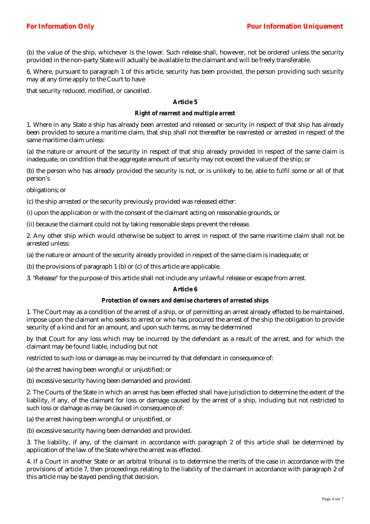(b) the value of the ship, whichever is the lower. Such release shall, however, not be ordered unless the security provided in the non-party State will actually be available to the claimant and will be freely transferable.

6. Where, pursuant to paragraph 1 of this article, security has been provided, the person providing such security may at any time apply to the Court to have

that security reduced, modified, or cancelled.

# **Article 5**

### *Right of rearrest and multiple arrest*

1. Where in any State a ship has already been arrested and released or security in respect of that ship has already been provided to secure a maritime claim, that ship shall not thereafter be rearrested or arrested in respect of the same maritime claim unless:

(a) the nature or amount of the security in respect of that ship already provided in respect of the same claim is inadequate, on condition that the aggregate amount of security may not exceed the value of the ship; or

(b) the person who has already provided the security is not, or is unlikely to be, able to fulfil some or all of that person's

obligations; or

(c) the ship arrested or the security previously provided was released either:

(i) upon the application or with the consent of the claimant acting on reasonable grounds, or

(ii) because the claimant could not by taking reasonable steps prevent the release.

2. Any other ship which would otherwise be subject to arrest in respect of the same maritime claim shall not be arrested unless:

(a) the nature or amount of the security already provided in respect of the same claim is inadequate; or

(b) the provisions of paragraph 1 (b) or (c) of this article are applicable.

3. "Release" for the purpose of this article shall not include any unlawful release or escape from arrest.

#### **Article 6**

#### *Protection of owners and demise charterers of arrested ships*

1. The Court may as a condition of the arrest of a ship, or of permitting an arrest already effected to be maintained, impose upon the claimant who seeks to arrest or who has procured the arrest of the ship the obligation to provide security of a kind and for an amount, and upon such terms, as may be determined

by that Court for any loss which may be incurred by the defendant as a result of the arrest, and for which the claimant may be found liable, including but not

restricted to such loss or damage as may be incurred by that defendant in consequence of:

(a) the arrest having been wrongful or unjustified; or

(b) excessive security having been demanded and provided.

2. The Courts of the State in which an arrest has been effected shall have jurisdiction to determine the extent of the liability, if any, of the claimant for loss or damage caused by the arrest of a ship, including but not restricted to such loss or damage as may be caused in consequence of:

(a) the arrest having been wrongful or unjustified, or

(b) excessive security having been demanded and provided.

3. The liability, if any, of the claimant in accordance with paragraph 2 of this article shall be determined by application of the law of the State where the arrest was effected.

4. If a Court in another State or an arbitral tribunal is to determine the merits of the case in accordance with the provisions of article 7, then proceedings relating to the liability of the claimant in accordance with paragraph 2 of this article may be stayed pending that decision.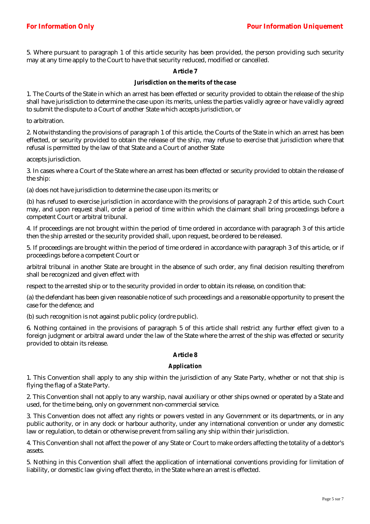5. Where pursuant to paragraph 1 of this article security has been provided, the person providing such security may at any time apply to the Court to have that security reduced, modified or cancelled.

# **Article 7**

### *Jurisdiction on the merits of the case*

1. The Courts of the State in which an arrest has been effected or security provided to obtain the release of the ship shall have jurisdiction to determine the case upon its merits, unless the parties validly agree or have validly agreed to submit the dispute to a Court of another State which accepts jurisdiction, or

to arbitration.

2. Notwithstanding the provisions of paragraph 1 of this article, the Courts of the State in which an arrest has been effected, or security provided to obtain the release of the ship, may refuse to exercise that jurisdiction where that refusal is permitted by the law of that State and a Court of another State

accepts jurisdiction.

3. In cases where a Court of the State where an arrest has been effected or security provided to obtain the release of the ship:

(a) does not have jurisdiction to determine the case upon its merits; or

(b) has refused to exercise jurisdiction in accordance with the provisions of paragraph 2 of this article, such Court may, and upon request shall, order a period of time within which the claimant shall bring proceedings before a competent Court or arbitral tribunal.

4. If proceedings are not brought within the period of time ordered in accordance with paragraph 3 of this article then the ship arrested or the security provided shall, upon request, be ordered to be released.

5. If proceedings are brought within the period of time ordered in accordance with paragraph 3 of this article, or if proceedings before a competent Court or

arbitral tribunal in another State are brought in the absence of such order, any final decision resulting therefrom shall be recognized and given effect with

respect to the arrested ship or to the security provided in order to obtain its release, on condition that:

(a) the defendant has been given reasonable notice of such proceedings and a reasonable opportunity to present the case for the defence; and

(b) such recognition is not against public policy (ordre public).

6. Nothing contained in the provisions of paragraph 5 of this article shall restrict any further effect given to a foreign judgment or arbitral award under the law of the State where the arrest of the ship was effected or security provided to obtain its release.

#### **Article 8**

## *Application*

1. This Convention shall apply to any ship within the jurisdiction of any State Party, whether or not that ship is flying the flag of a State Party.

2. This Convention shall not apply to any warship, naval auxiliary or other ships owned or operated by a State and used, for the time being, only on government non-commercial service.

3. This Convention does not affect any rights or powers vested in any Government or its departments, or in any public authority, or in any dock or harbour authority, under any international convention or under any domestic law or regulation, to detain or otherwise prevent from sailing any ship within their jurisdiction.

4. This Convention shall not affect the power of any State or Court to make orders affecting the totality of a debtor's assets.

5. Nothing in this Convention shall affect the application of international conventions providing for limitation of liability, or domestic law giving effect thereto, in the State where an arrest is effected.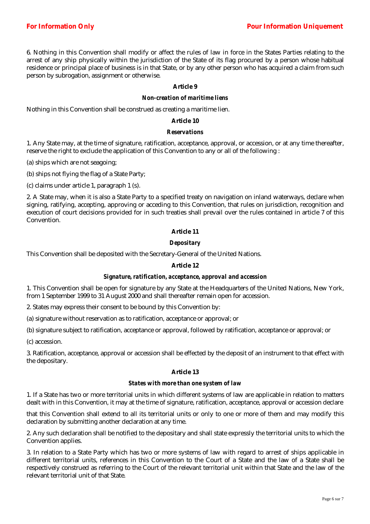6. Nothing in this Convention shall modify or affect the rules of law in force in the States Parties relating to the arrest of any ship physically within the jurisdiction of the State of its flag procured by a person whose habitual residence or principal place of business is in that State, or by any other person who has acquired a claim from such person by subrogation, assignment or otherwise.

# **Article 9**

#### *Non-creation of maritime liens*

Nothing in this Convention shall be construed as creating a maritime lien.

## **Article 10**

## *Reservations*

1. Any State may, at the time of signature, ratification, acceptance, approval, or accession, or at any time thereafter, reserve the right to exclude the application of this Convention to any or all of the following :

(a) ships which are not seagoing;

(b) ships not flying the flag of a State Party;

(c) claims under article 1, paragraph 1 (s).

2. A State may, when it is also a State Party to a specified treaty on navigation on inland waterways, declare when signing, ratifying, accepting, approving or acceding to this Convention, that rules on jurisdiction, recognition and execution of court decisions provided for in such treaties shall prevail over the rules contained in article 7 of this Convention.

# **Article 11**

## *Depositary*

This Convention shall be deposited with the Secretary-General of the United Nations.

# **Article 12**

#### *Signature, ratification, acceptance, approval and accession*

1. This Convention shall be open for signature by any State at the Headquarters of the United Nations, New York, from 1 September 1999 to 31 August 2000 and shall thereafter remain open for accession.

2. States may express their consent to be bound by this Convention by:

(a) signature without reservation as to ratification, acceptance or approval; or

(b) signature subject to ratification, acceptance or approval, followed by ratification, acceptance or approval; or

(c) accession.

3. Ratification, acceptance, approval or accession shall be effected by the deposit of an instrument to that effect with the depositary.

# **Article 13**

### *States with more than one system of law*

1. If a State has two or more territorial units in which different systems of law are applicable in relation to matters dealt with in this Convention, it may at the time of signature, ratification, acceptance, approval or accession declare

that this Convention shall extend to all its territorial units or only to one or more of them and may modify this declaration by submitting another declaration at any time.

2. Any such declaration shall be notified to the depositary and shall state expressly the territorial units to which the Convention applies.

3. In relation to a State Party which has two or more systems of law with regard to arrest of ships applicable in different territorial units, references in this Convention to the Court of a State and the law of a State shall be respectively construed as referring to the Court of the relevant territorial unit within that State and the law of the relevant territorial unit of that State.